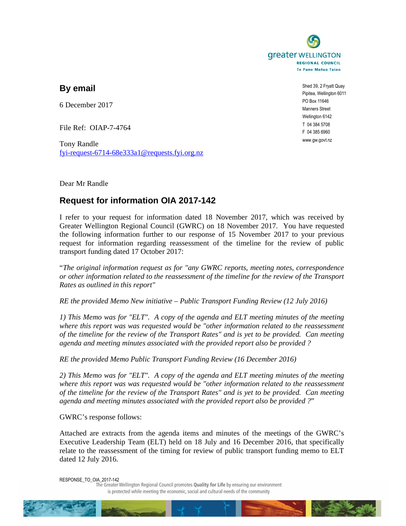

**By email** 

6 December 2017

File Ref: OIAP-7-4764

Tony Randle fyi-request-6714-68e333a1@requests.fyi.org.nz

Shed 39, 2 Fryatt Quay Pipitea, Wellington 6011 PO Box 11646 Manners Street Wellington 6142 T 04 384 5708 F 04 385 6960 www.gw.govt.nz

Dear Mr Randle

## **Request for information OIA 2017-142**

I refer to your request for information dated 18 November 2017, which was received by Greater Wellington Regional Council (GWRC) on 18 November 2017. You have requested the following information further to our response of 15 November 2017 to your previous request for information regarding reassessment of the timeline for the review of public transport funding dated 17 October 2017:

"*The original information request as for "any GWRC reports, meeting notes, correspondence or other information related to the reassessment of the timeline for the review of the Transport Rates as outlined in this report"* 

*RE the provided Memo New initiative – Public Transport Funding Review (12 July 2016)* 

*1) This Memo was for "ELT". A copy of the agenda and ELT meeting minutes of the meeting where this report was was requested would be "other information related to the reassessment of the timeline for the review of the Transport Rates" and is yet to be provided. Can meeting agenda and meeting minutes associated with the provided report also be provided ?* 

*RE the provided Memo Public Transport Funding Review (16 December 2016)* 

*2) This Memo was for "ELT". A copy of the agenda and ELT meeting minutes of the meeting where this report was was requested would be "other information related to the reassessment of the timeline for the review of the Transport Rates" and is yet to be provided. Can meeting agenda and meeting minutes associated with the provided report also be provided ?*"

GWRC's response follows:

Attached are extracts from the agenda items and minutes of the meetings of the GWRC's Executive Leadership Team (ELT) held on 18 July and 16 December 2016, that specifically relate to the reassessment of the timing for review of public transport funding memo to ELT dated 12 July 2016.

RESPONSE\_TO\_OIA\_2017-142<br>The Greater Wellington Regional Council promotes Quality for Life by ensuring our environment is protected while meeting the economic, social and cultural needs of the community

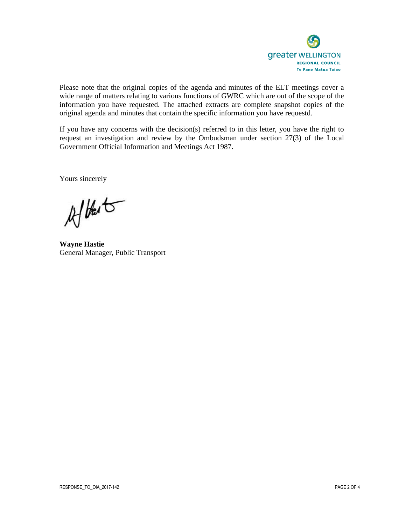

Please note that the original copies of the agenda and minutes of the ELT meetings cover a wide range of matters relating to various functions of GWRC which are out of the scope of the information you have requested. The attached extracts are complete snapshot copies of the original agenda and minutes that contain the specific information you have requestd.

If you have any concerns with the decision(s) referred to in this letter, you have the right to request an investigation and review by the Ombudsman under section 27(3) of the Local Government Official Information and Meetings Act 1987.

Yours sincerely

Aftert

**Wayne Hastie** General Manager, Public Transport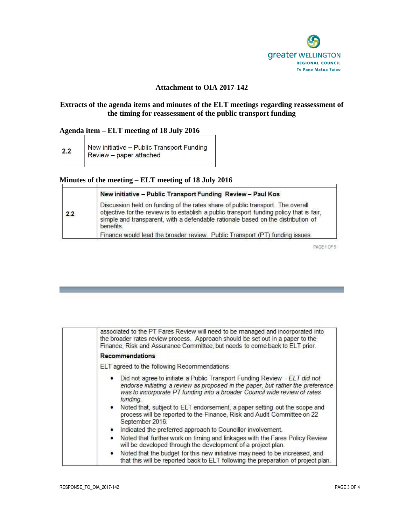

#### **Attachment to OIA 2017-142**

#### **Extracts of the agenda items and minutes of the ELT meetings regarding reassessment of the timing for reassessment of the public transport funding**

#### **Agenda item – ELT meeting of 18 July 2016**

| 2.2 | New initiative - Public Transport Funding |
|-----|-------------------------------------------|
|     | Review - paper attached                   |

## **Minutes of the meeting – ELT meeting of 18 July 2016**

| 2.2 | New initiative - Public Transport Funding Review - Paul Kos                                                                                                                                                                                                                 |
|-----|-----------------------------------------------------------------------------------------------------------------------------------------------------------------------------------------------------------------------------------------------------------------------------|
|     | Discussion held on funding of the rates share of public transport. The overall<br>objective for the review is to establish a public transport funding policy that is fair,<br>simple and transparent, with a defendable rationale based on the distribution of<br>benefits. |
|     | Finance would lead the broader review. Public Transport (PT) funding issues                                                                                                                                                                                                 |

PAGE 1 OF 5

| associated to the PT Fares Review will need to be managed and incorporated into<br>the broader rates review process. Approach should be set out in a paper to the<br>Finance, Risk and Assurance Committee, but needs to come back to ELT prior.                                                                                                                                                                                   |
|------------------------------------------------------------------------------------------------------------------------------------------------------------------------------------------------------------------------------------------------------------------------------------------------------------------------------------------------------------------------------------------------------------------------------------|
| <b>Recommendations</b>                                                                                                                                                                                                                                                                                                                                                                                                             |
| ELT agreed to the following Recommendations                                                                                                                                                                                                                                                                                                                                                                                        |
| Did not agree to initiate a Public Transport Funding Review - ELT did not<br>endorse initiating a review as proposed in the paper, but rather the preference<br>was to incorporate PT funding into a broader Council wide review of rates<br>funding.<br>• Noted that, subject to ELT endorsement, a paper setting out the scope and<br>process will be reported to the Finance, Risk and Audit Committee on 22<br>September 2016. |
| Indicated the preferred approach to Councillor involvement.<br>٠                                                                                                                                                                                                                                                                                                                                                                   |
| Noted that further work on timing and linkages with the Fares Policy Review<br>$\bullet$<br>will be developed through the development of a project plan.                                                                                                                                                                                                                                                                           |
| $\bullet$<br>Noted that the budget for this new initiative may need to be increased, and<br>that this will be reported back to ELT following the preparation of project plan.                                                                                                                                                                                                                                                      |